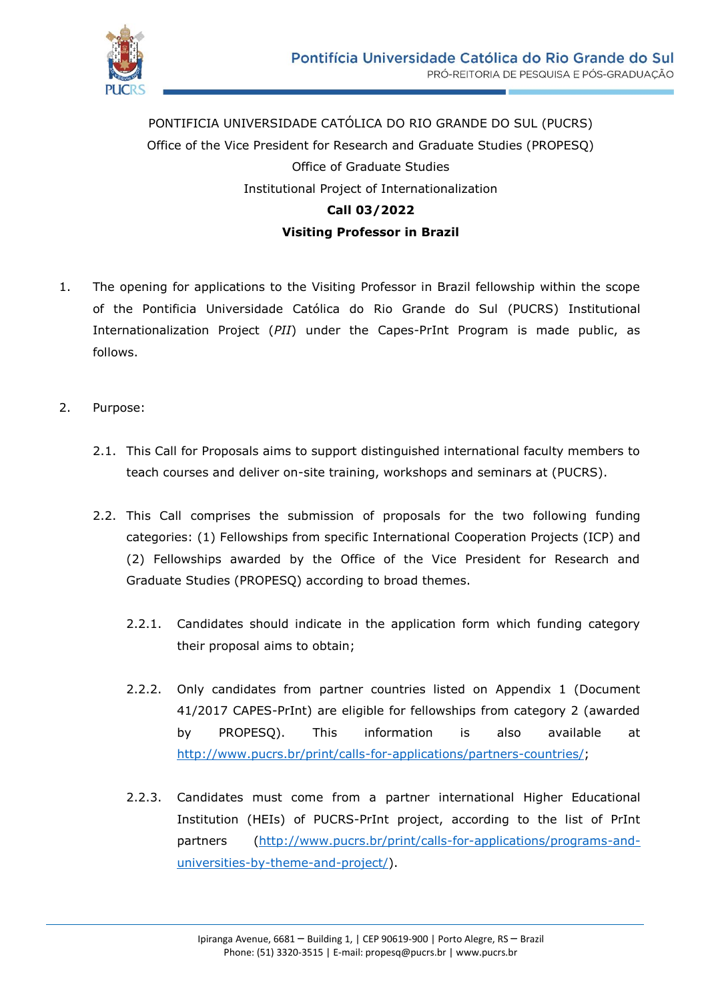

PONTIFICIA UNIVERSIDADE CATÓLICA DO RIO GRANDE DO SUL (PUCRS) Office of the Vice President for Research and Graduate Studies (PROPESQ) Office of Graduate Studies Institutional Project of Internationalization **Call 03/2022 Visiting Professor in Brazil**

- 1. The opening for applications to the Visiting Professor in Brazil fellowship within the scope of the Pontificia Universidade Católica do Rio Grande do Sul (PUCRS) Institutional Internationalization Project (*PII*) under the Capes-PrInt Program is made public, as follows.
- 2. Purpose:
	- 2.1. This Call for Proposals aims to support distinguished international faculty members to teach courses and deliver on-site training, workshops and seminars at (PUCRS).
	- 2.2. This Call comprises the submission of proposals for the two following funding categories: (1) Fellowships from specific International Cooperation Projects (ICP) and (2) Fellowships awarded by the Office of the Vice President for Research and Graduate Studies (PROPESQ) according to broad themes.
		- 2.2.1. Candidates should indicate in the application form which funding category their proposal aims to obtain;
		- 2.2.2. Only candidates from partner countries listed on Appendix 1 (Document 41/2017 CAPES-PrInt) are eligible for fellowships from category 2 (awarded by PROPESQ). This information is also available at [http://www.pucrs.br/print/calls-for-applications/partners-countries/;](http://www.pucrs.br/print/calls-for-applications/partners-countries/)
		- 2.2.3. Candidates must come from a partner international Higher Educational Institution (HEIs) of PUCRS-PrInt project, according to the list of PrInt partners [\(http://www.pucrs.br/print/calls-for-applications/programs-and](http://www.pucrs.br/print/calls-for-applications/programs-and-universities-by-theme-and-project/)[universities-by-theme-and-project/\)](http://www.pucrs.br/print/calls-for-applications/programs-and-universities-by-theme-and-project/).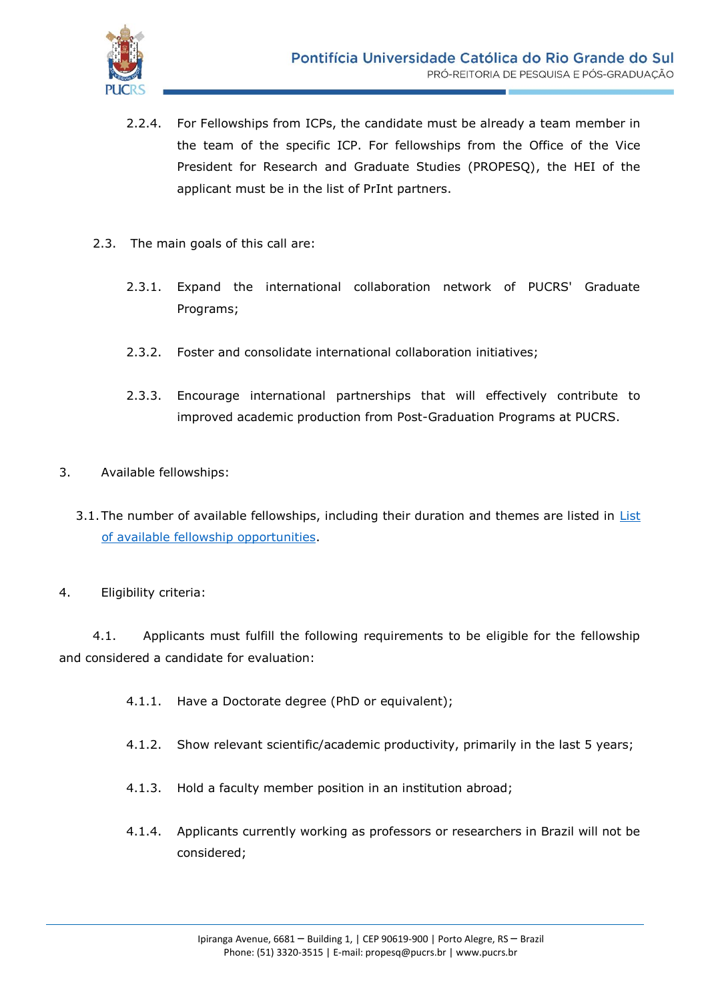

- 2.2.4. For Fellowships from ICPs, the candidate must be already a team member in the team of the specific ICP. For fellowships from the Office of the Vice President for Research and Graduate Studies (PROPESQ), the HEI of the applicant must be in the list of PrInt partners.
- 2.3. The main goals of this call are:
	- 2.3.1. Expand the international collaboration network of PUCRS' Graduate Programs;
	- 2.3.2. Foster and consolidate international collaboration initiatives;
	- 2.3.3. Encourage international partnerships that will effectively contribute to improved academic production from Post-Graduation Programs at PUCRS.
- 3. Available fellowships:
	- 3.1.The number of available fellowships, including their duration and themes are listed in [List](http://www.pucrs.br/print/wp-content/uploads/sites/218/2020/08/Fellowships-Visiting-Professor-in-Brazil_3rd_call.pdf)  [of available fellowship opportunities.](http://www.pucrs.br/print/wp-content/uploads/sites/218/2020/08/Fellowships-Visiting-Professor-in-Brazil_3rd_call.pdf)
- 4. Eligibility criteria:

4.1. Applicants must fulfill the following requirements to be eligible for the fellowship and considered a candidate for evaluation:

- 4.1.1. Have a Doctorate degree (PhD or equivalent);
- 4.1.2. Show relevant scientific/academic productivity, primarily in the last 5 years;
- 4.1.3. Hold a faculty member position in an institution abroad;
- 4.1.4. Applicants currently working as professors or researchers in Brazil will not be considered;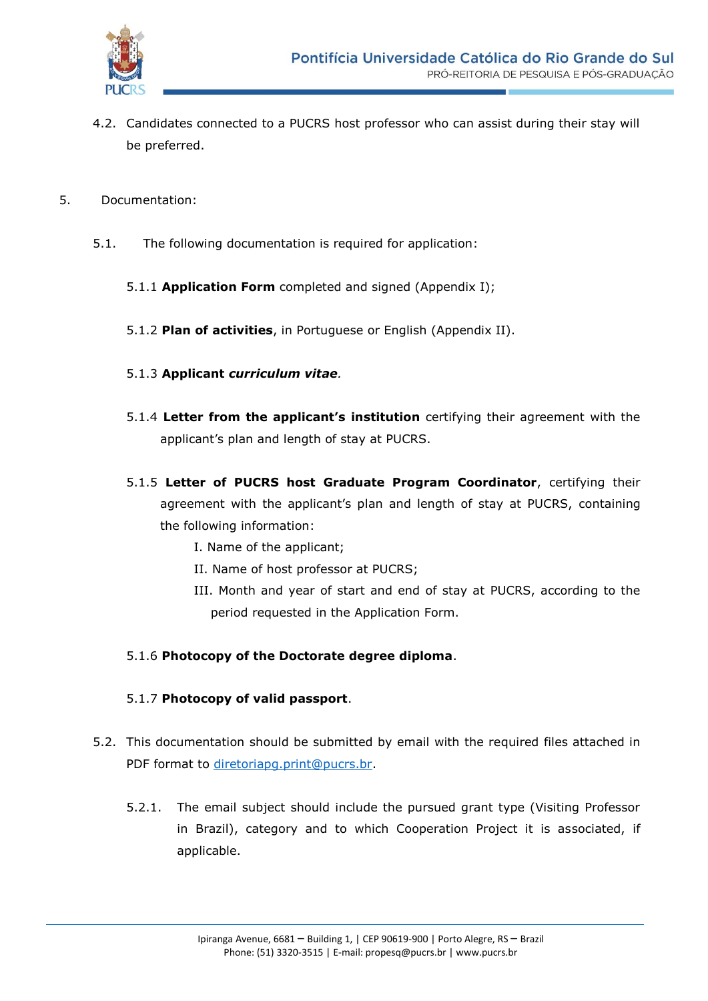

- 4.2. Candidates connected to a PUCRS host professor who can assist during their stay will be preferred.
- 5. Documentation:
	- 5.1. The following documentation is required for application:
		- 5.1.1 **Application Form** completed and signed (Appendix I);
		- 5.1.2 **Plan of activities**, in Portuguese or English (Appendix II).
		- 5.1.3 **Applicant** *curriculum vitae.*
		- 5.1.4 **Letter from the applicant's institution** certifying their agreement with the applicant's plan and length of stay at PUCRS.
		- 5.1.5 **Letter of PUCRS host Graduate Program Coordinator**, certifying their agreement with the applicant's plan and length of stay at PUCRS, containing the following information:
			- I. Name of the applicant;
			- II. Name of host professor at PUCRS;
			- III. Month and year of start and end of stay at PUCRS, according to the period requested in the Application Form.

## 5.1.6 **Photocopy of the Doctorate degree diploma**.

## 5.1.7 **Photocopy of valid passport**.

- 5.2. This documentation should be submitted by email with the required files attached in PDF format to [diretoriapg.print@pucrs.br.](mailto:diretoriapg.print@pucrs.br)
	- 5.2.1. The email subject should include the pursued grant type (Visiting Professor in Brazil), category and to which Cooperation Project it is associated, if applicable.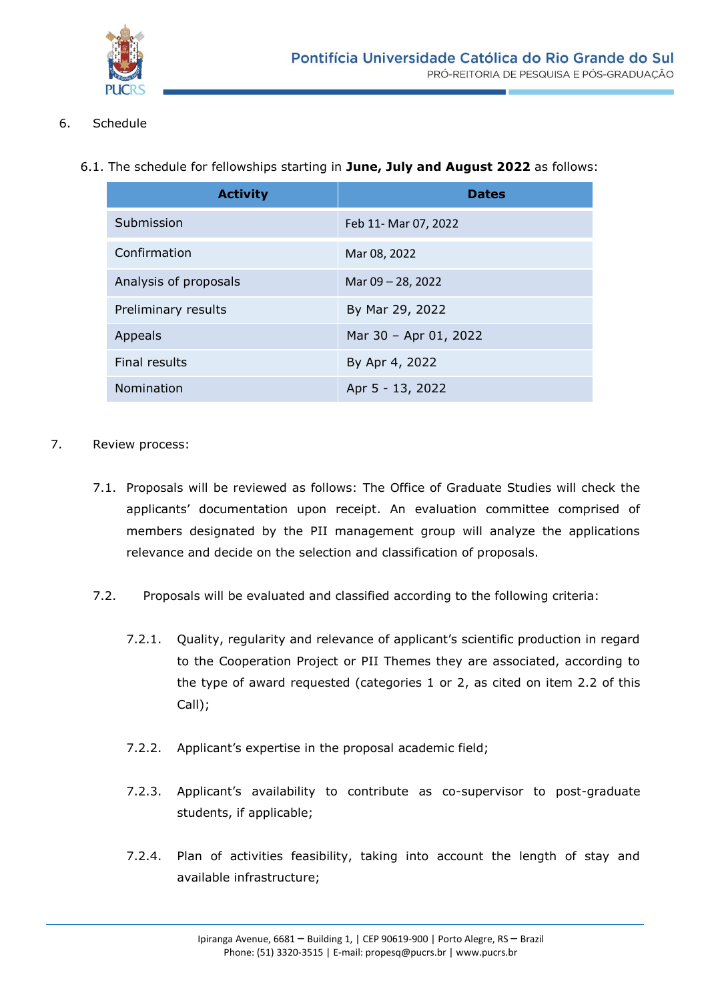

- 6. Schedule
	- 6.1. The schedule for fellowships starting in **June, July and August 2022** as follows:

| <b>Activity</b>       | <b>Dates</b>          |
|-----------------------|-----------------------|
| Submission            | Feb 11- Mar 07, 2022  |
| Confirmation          | Mar 08, 2022          |
| Analysis of proposals | Mar 09 - 28, 2022     |
| Preliminary results   | By Mar 29, 2022       |
| Appeals               | Mar 30 - Apr 01, 2022 |
| Final results         | By Apr 4, 2022        |
| Nomination            | Apr 5 - 13, 2022      |

- 7. Review process:
	- 7.1. Proposals will be reviewed as follows: The Office of Graduate Studies will check the applicants' documentation upon receipt. An evaluation committee comprised of members designated by the PII management group will analyze the applications relevance and decide on the selection and classification of proposals.
	- 7.2. Proposals will be evaluated and classified according to the following criteria:
		- 7.2.1. Quality, regularity and relevance of applicant's scientific production in regard to the Cooperation Project or PII Themes they are associated, according to the type of award requested (categories 1 or 2, as cited on item 2.2 of this Call);
		- 7.2.2. Applicant's expertise in the proposal academic field;
		- 7.2.3. Applicant's availability to contribute as co-supervisor to post-graduate students, if applicable;
		- 7.2.4. Plan of activities feasibility, taking into account the length of stay and available infrastructure;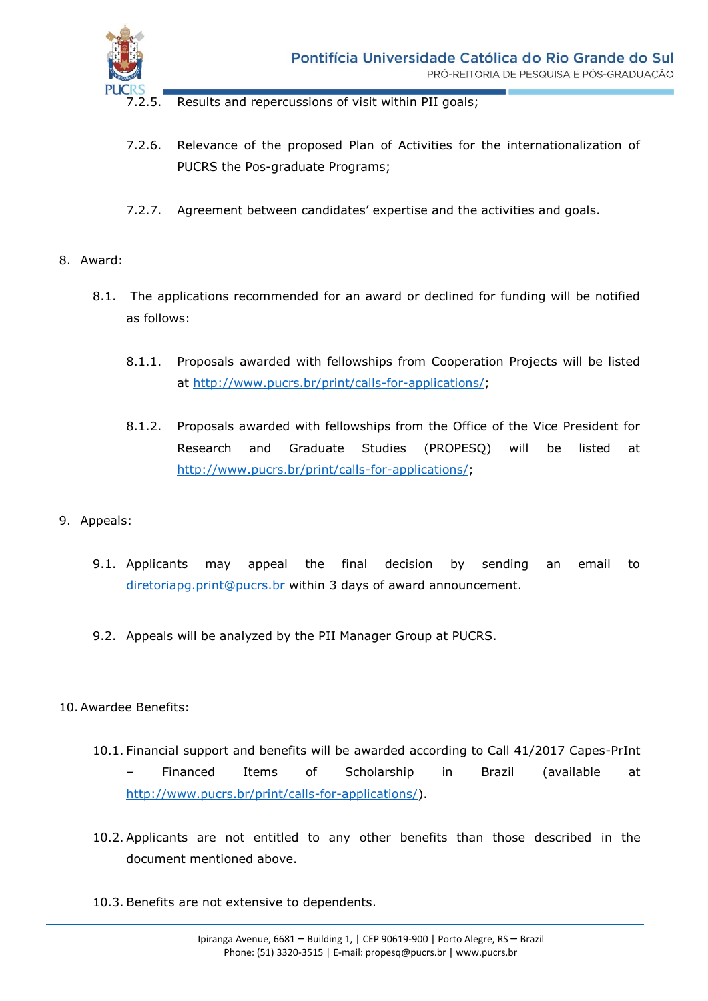

2.5. Results and repercussions of visit within PII goals;

- 7.2.6. Relevance of the proposed Plan of Activities for the internationalization of PUCRS the Pos-graduate Programs;
- 7.2.7. Agreement between candidates' expertise and the activities and goals.
- 8. Award:
	- 8.1. The applications recommended for an award or declined for funding will be notified as follows:
		- 8.1.1. Proposals awarded with fellowships from Cooperation Projects will be listed at [http://www.pucrs.br/print/calls-for-applications/;](http://www.pucrs.br/print/calls-for-applications/)
		- 8.1.2. Proposals awarded with fellowships from the Office of the Vice President for Research and Graduate Studies (PROPESQ) will be listed at [http://www.pucrs.br/print/calls-for-applications/;](http://www.pucrs.br/print/calls-for-applications/)
- 9. Appeals:
	- 9.1. Applicants may appeal the final decision by sending an email to [diretoriapg.print@pucrs.br](mailto:diretoriapg.print@pucrs.br) within 3 days of award announcement.
	- 9.2. Appeals will be analyzed by the PII Manager Group at PUCRS.

## 10.Awardee Benefits:

- 10.1. Financial support and benefits will be awarded according to Call 41/2017 Capes-PrInt – Financed Items of Scholarship in Brazil (available at [http://www.pucrs.br/print/calls-for-applications/\)](http://www.pucrs.br/print/calls-for-applications/).
- 10.2. Applicants are not entitled to any other benefits than those described in the document mentioned above.
- 10.3. Benefits are not extensive to dependents.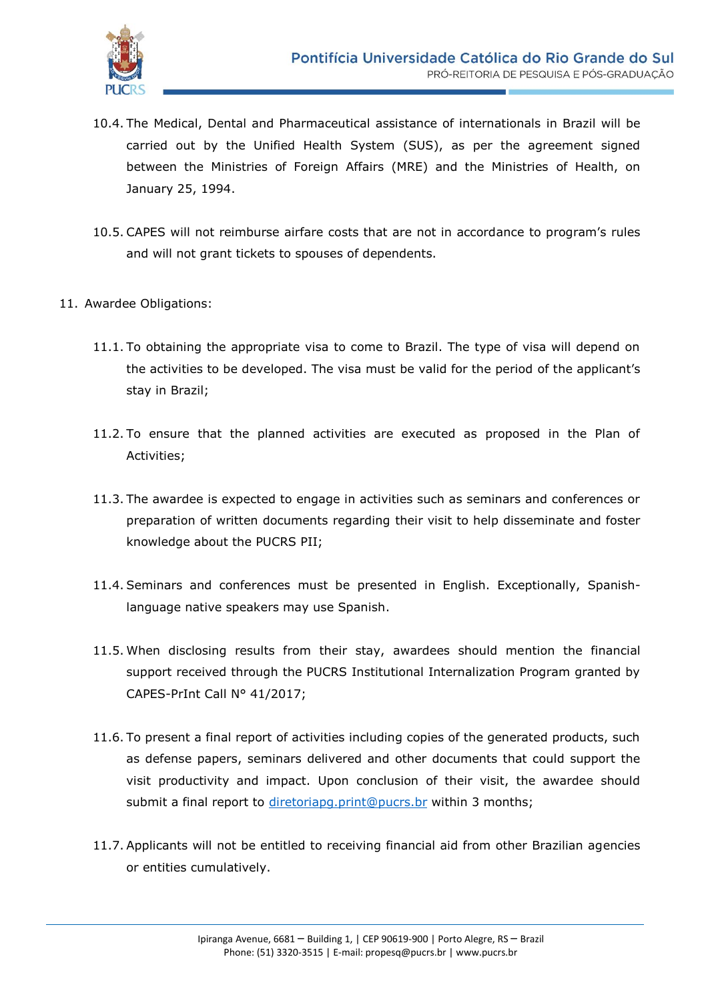

- 10.4. The Medical, Dental and Pharmaceutical assistance of internationals in Brazil will be carried out by the Unified Health System (SUS), as per the agreement signed between the Ministries of Foreign Affairs (MRE) and the Ministries of Health, on January 25, 1994.
- 10.5. CAPES will not reimburse airfare costs that are not in accordance to program's rules and will not grant tickets to spouses of dependents.
- 11. Awardee Obligations:
	- 11.1. To obtaining the appropriate visa to come to Brazil. The type of visa will depend on the activities to be developed. The visa must be valid for the period of the applicant's stay in Brazil;
	- 11.2. To ensure that the planned activities are executed as proposed in the Plan of Activities;
	- 11.3. The awardee is expected to engage in activities such as seminars and conferences or preparation of written documents regarding their visit to help disseminate and foster knowledge about the PUCRS PII;
	- 11.4. Seminars and conferences must be presented in English. Exceptionally, Spanishlanguage native speakers may use Spanish.
	- 11.5. When disclosing results from their stay, awardees should mention the financial support received through the PUCRS Institutional Internalization Program granted by CAPES-PrInt Call N° 41/2017;
	- 11.6. To present a final report of activities including copies of the generated products, such as defense papers, seminars delivered and other documents that could support the visit productivity and impact. Upon conclusion of their visit, the awardee should submit a final report to [diretoriapg.print@pucrs.br](mailto:diretoriapg.print@pucrs.br) within 3 months;
	- 11.7. Applicants will not be entitled to receiving financial aid from other Brazilian agencies or entities cumulatively.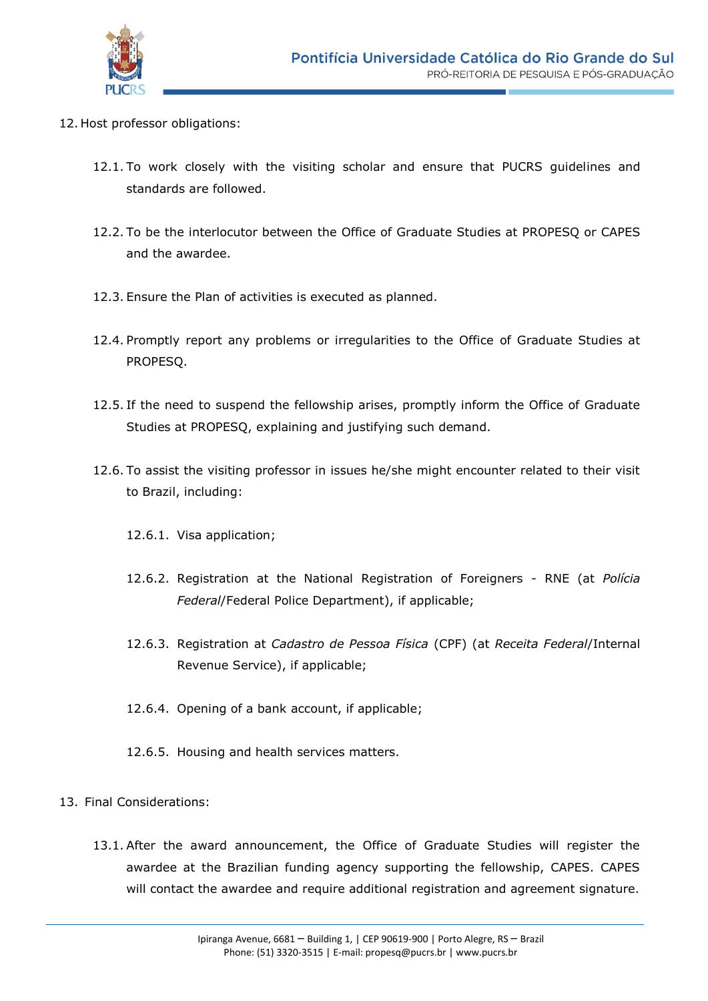

- 12. Host professor obligations:
	- 12.1. To work closely with the visiting scholar and ensure that PUCRS guidelines and standards are followed.
	- 12.2. To be the interlocutor between the Office of Graduate Studies at PROPESQ or CAPES and the awardee.
	- 12.3. Ensure the Plan of activities is executed as planned.
	- 12.4. Promptly report any problems or irregularities to the Office of Graduate Studies at PROPESQ.
	- 12.5. If the need to suspend the fellowship arises, promptly inform the Office of Graduate Studies at PROPESQ, explaining and justifying such demand.
	- 12.6. To assist the visiting professor in issues he/she might encounter related to their visit to Brazil, including:
		- 12.6.1. Visa application;
		- 12.6.2. Registration at the National Registration of Foreigners RNE (at *Polícia Federal*/Federal Police Department), if applicable;
		- 12.6.3. Registration at *Cadastro de Pessoa Física* (CPF) (at *Receita Federal*/Internal Revenue Service), if applicable;
		- 12.6.4. Opening of a bank account, if applicable;
		- 12.6.5. Housing and health services matters.
- 13. Final Considerations:
	- 13.1. After the award announcement, the Office of Graduate Studies will register the awardee at the Brazilian funding agency supporting the fellowship, CAPES. CAPES will contact the awardee and require additional registration and agreement signature.